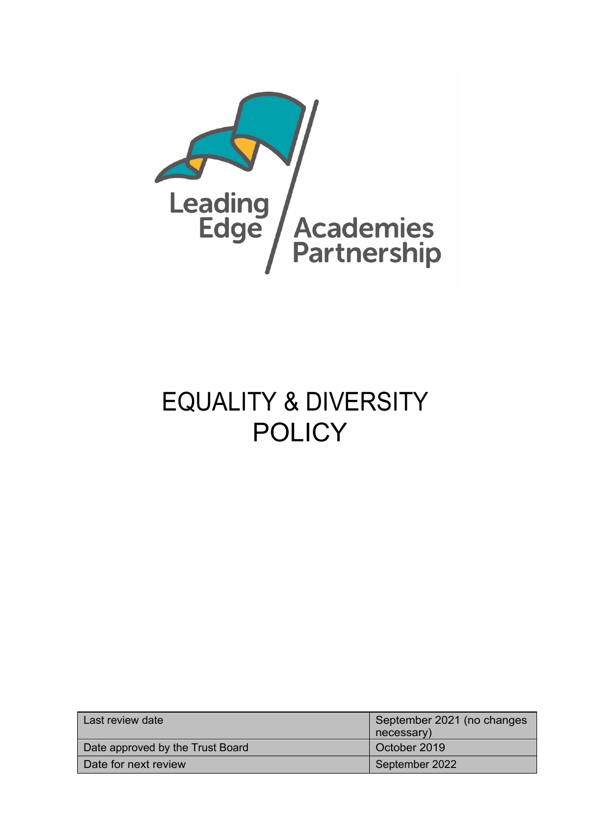

# EQUALITY & DIVERSITY **POLICY**

| Last review date                 | September 2021 (no changes<br>necessary) |
|----------------------------------|------------------------------------------|
| Date approved by the Trust Board | October 2019                             |
| Date for next review             | September 2022                           |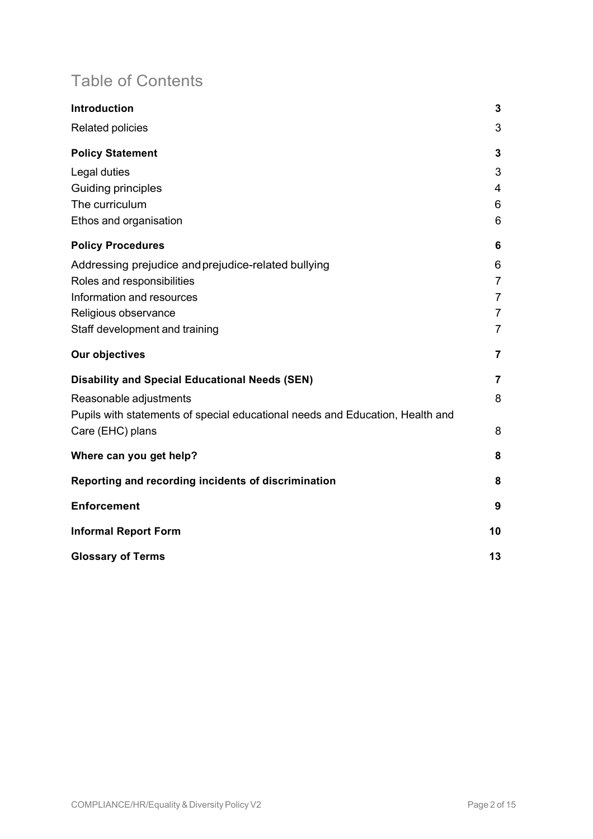## Table of Contents

| Introduction                                                                  | 3              |
|-------------------------------------------------------------------------------|----------------|
| Related policies                                                              | 3              |
| <b>Policy Statement</b>                                                       | 3              |
| Legal duties                                                                  | 3              |
| Guiding principles                                                            | 4              |
| The curriculum                                                                | 6              |
| Ethos and organisation                                                        | 6              |
| <b>Policy Procedures</b>                                                      | 6              |
| Addressing prejudice and prejudice-related bullying                           | 6              |
| Roles and responsibilities                                                    | $\overline{7}$ |
| Information and resources                                                     | $\overline{7}$ |
| Religious observance                                                          | $\overline{7}$ |
| Staff development and training                                                | $\overline{7}$ |
| Our objectives                                                                | 7              |
| <b>Disability and Special Educational Needs (SEN)</b>                         | $\overline{7}$ |
| Reasonable adjustments                                                        | 8              |
| Pupils with statements of special educational needs and Education, Health and |                |
| Care (EHC) plans                                                              | 8              |
| Where can you get help?                                                       | 8              |
| Reporting and recording incidents of discrimination                           | 8              |
| <b>Enforcement</b>                                                            | 9              |
| <b>Informal Report Form</b>                                                   | 10             |
| <b>Glossary of Terms</b>                                                      | 13             |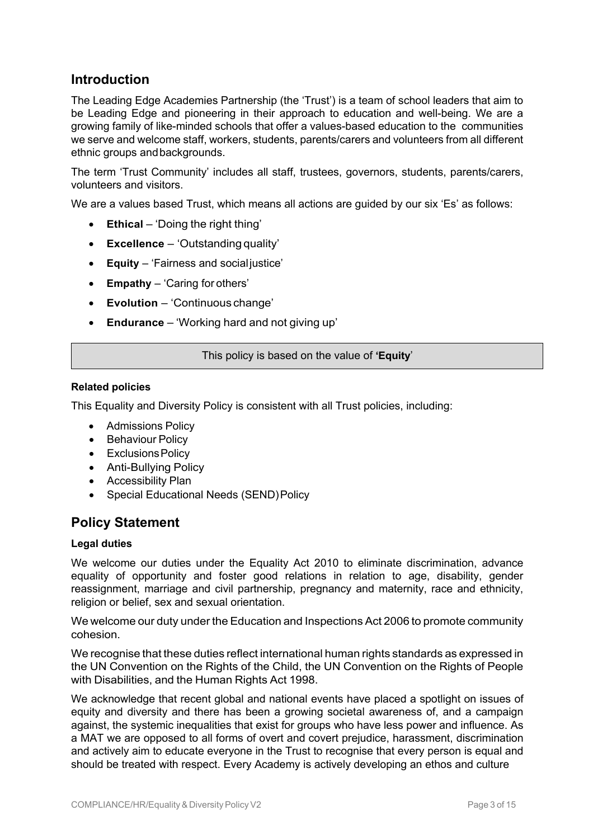### **Introduction**

The Leading Edge Academies Partnership (the 'Trust') is a team of school leaders that aim to be Leading Edge and pioneering in their approach to education and well-being. We are a growing family of like-minded schools that offer a values-based education to the communities we serve and welcome staff, workers, students, parents/carers and volunteers from all different ethnic groups andbackgrounds.

The term 'Trust Community' includes all staff, trustees, governors, students, parents/carers, volunteers and visitors.

We are a values based Trust, which means all actions are guided by our six 'Es' as follows:

- **Ethical** 'Doing the right thing'
- **Excellence**  'Outstanding quality'
- **Equity**  'Fairness and social justice'
- **Empathy**  'Caring for others'
- **Evolution**  'Continuous change'
- **Endurance** 'Working hard and not giving up'

This policy is based on the value of **'Equity**'

### **Related policies**

This Equality and Diversity Policy is consistent with all Trust policies, including:

- Admissions Policy
- Behaviour Policy
- Exclusions Policy
- Anti-Bullying Policy
- Accessibility Plan
- Special Educational Needs (SEND) Policy

### **Policy Statement**

### **Legal duties**

We welcome our duties under the Equality Act 2010 to eliminate discrimination, advance equality of opportunity and foster good relations in relation to age, disability, gender reassignment, marriage and civil partnership, pregnancy and maternity, race and ethnicity, religion or belief, sex and sexual orientation.

We welcome our duty under the Education and Inspections Act 2006 to promote community cohesion.

We recognise that these duties reflect international human rights standards as expressed in the UN Convention on the Rights of the Child, the UN Convention on the Rights of People with Disabilities, and the Human Rights Act 1998.

We acknowledge that recent global and national events have placed a spotlight on issues of equity and diversity and there has been a growing societal awareness of, and a campaign against, the systemic inequalities that exist for groups who have less power and influence. As a MAT we are opposed to all forms of overt and covert prejudice, harassment, discrimination and actively aim to educate everyone in the Trust to recognise that every person is equal and should be treated with respect. Every Academy is actively developing an ethos and culture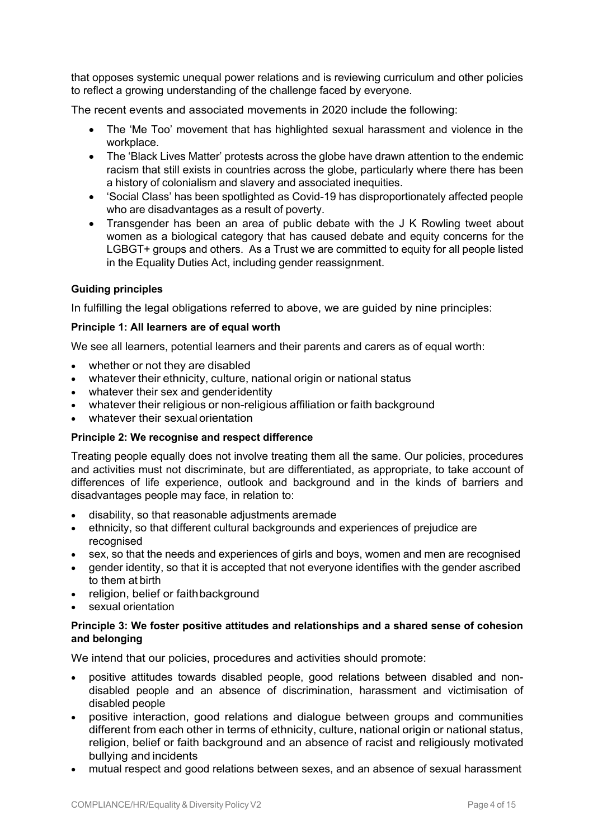that opposes systemic unequal power relations and is reviewing curriculum and other policies to reflect a growing understanding of the challenge faced by everyone.

The recent events and associated movements in 2020 include the following:

- The 'Me Too' movement that has highlighted sexual harassment and violence in the workplace.
- The 'Black Lives Matter' protests across the globe have drawn attention to the endemic racism that still exists in countries across the globe, particularly where there has been a history of colonialism and slavery and associated inequities.
- 'Social Class' has been spotlighted as Covid-19 has disproportionately affected people who are disadvantages as a result of poverty.
- Transgender has been an area of public debate with the J K Rowling tweet about women as a biological category that has caused debate and equity concerns for the LGBGT+ groups and others. As a Trust we are committed to equity for all people listed in the Equality Duties Act, including gender reassignment.

### **Guiding principles**

In fulfilling the legal obligations referred to above, we are guided by nine principles:

### **Principle 1: All learners are of equal worth**

We see all learners, potential learners and their parents and carers as of equal worth:

- whether or not they are disabled
- whatever their ethnicity, culture, national origin or national status
- whatever their sex and genderidentity
- whatever their religious or non-religious affiliation or faith background
- whatever their sexual orientation

### **Principle 2: We recognise and respect difference**

Treating people equally does not involve treating them all the same. Our policies, procedures and activities must not discriminate, but are differentiated, as appropriate, to take account of differences of life experience, outlook and background and in the kinds of barriers and disadvantages people may face, in relation to:

- disability, so that reasonable adjustments aremade
- ethnicity, so that different cultural backgrounds and experiences of prejudice are recognised
- sex, so that the needs and experiences of girls and boys, women and men are recognised
- gender identity, so that it is accepted that not everyone identifies with the gender ascribed to them at birth
- religion, belief or faithbackground
- sexual orientation

### **Principle 3: We foster positive attitudes and relationships and a shared sense of cohesion and belonging**

We intend that our policies, procedures and activities should promote:

- positive attitudes towards disabled people, good relations between disabled and nondisabled people and an absence of discrimination, harassment and victimisation of disabled people
- positive interaction, good relations and dialogue between groups and communities different from each other in terms of ethnicity, culture, national origin or national status, religion, belief or faith background and an absence of racist and religiously motivated bullying and incidents
- mutual respect and good relations between sexes, and an absence of sexual harassment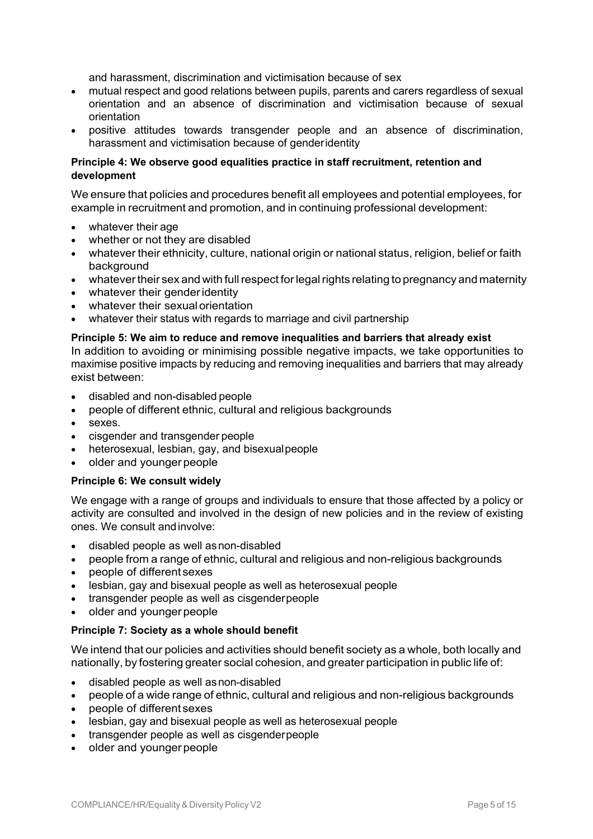and harassment, discrimination and victimisation because of sex

- mutual respect and good relations between pupils, parents and carers regardless of sexual orientation and an absence of discrimination and victimisation because of sexual orientation
- positive attitudes towards transgender people and an absence of discrimination, harassment and victimisation because of genderidentity

### **Principle 4: We observe good equalities practice in staff recruitment, retention and development**

We ensure that policies and procedures benefit all employees and potential employees, for example in recruitment and promotion, and in continuing professional development:

- whatever their age
- whether or not they are disabled
- whatever their ethnicity, culture, national origin or national status, religion, belief or faith background
- whatever their sex and with full respect for legal rights relating to pregnancy and maternity
- whatever their gender identity
- whatever their sexual orientation
- whatever their status with regards to marriage and civil partnership

### **Principle 5: We aim to reduce and remove inequalities and barriers that already exist**

In addition to avoiding or minimising possible negative impacts, we take opportunities to maximise positive impacts by reducing and removing inequalities and barriers that may already exist between:

- disabled and non-disabled people
- people of different ethnic, cultural and religious backgrounds
- sexes.
- cisgender and transgender people
- heterosexual, lesbian, gay, and bisexualpeople
- older and younger people

### **Principle 6: We consult widely**

We engage with a range of groups and individuals to ensure that those affected by a policy or activity are consulted and involved in the design of new policies and in the review of existing ones. We consult andinvolve:

- disabled people as well asnon-disabled
- people from a range of ethnic, cultural and religious and non-religious backgrounds
- people of different sexes
- lesbian, gay and bisexual people as well as heterosexual people
- transgender people as well as cisgenderpeople
- older and younger people

### **Principle 7: Society as a whole should benefit**

We intend that our policies and activities should benefit society as a whole, both locally and nationally, by fostering greater social cohesion, and greater participation in public life of:

- disabled people as well asnon-disabled
- people of a wide range of ethnic, cultural and religious and non-religious backgrounds
- people of different sexes
- lesbian, gay and bisexual people as well as heterosexual people
- transgender people as well as cisgenderpeople
- older and younger people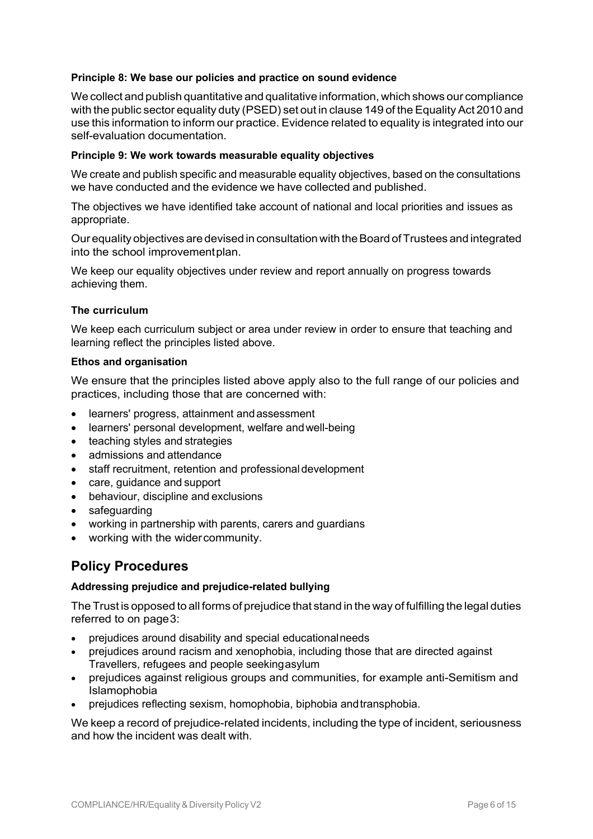### **Principle 8: We base our policies and practice on sound evidence**

We collect and publish quantitative and qualitative information, which shows our compliance with the public sector equality duty (PSED) set out in clause 149 of the Equality Act 2010 and use this information to inform our practice. Evidence related to equality is integrated into our self-evaluation documentation.

### **Principle 9: We work towards measurable equality objectives**

We create and publish specific and measurable equality objectives, based on the consultations we have conducted and the evidence we have collected and published.

The objectives we have identified take account of national and local priorities and issues as appropriate.

Our equality objectives are devised in consultation with theBoard ofTrustees and integrated into the school improvementplan.

We keep our equality objectives under review and report annually on progress towards achieving them.

### **The curriculum**

We keep each curriculum subject or area under review in order to ensure that teaching and learning reflect the principles listed above.

### **Ethos and organisation**

We ensure that the principles listed above apply also to the full range of our policies and practices, including those that are concerned with:

- learners' progress, attainment and assessment
- learners' personal development, welfare andwell-being
- teaching styles and strategies
- admissions and attendance
- staff recruitment, retention and professional development
- care, guidance and support
- behaviour, discipline and exclusions
- safeguarding
- working in partnership with parents, carers and guardians
- working with the widercommunity.

### **Policy Procedures**

### **Addressing prejudice and prejudice-related bullying**

The Trust is opposed to all forms of prejudice that stand in the way of fulfilling the legal duties referred to on page3:

- prejudices around disability and special educationalneeds
- prejudices around racism and xenophobia, including those that are directed against Travellers, refugees and people seekingasylum
- prejudices against religious groups and communities, for example anti-Semitism and Islamophobia
- prejudices reflecting sexism, homophobia, biphobia andtransphobia.

We keep a record of prejudice-related incidents, including the type of incident, seriousness and how the incident was dealt with.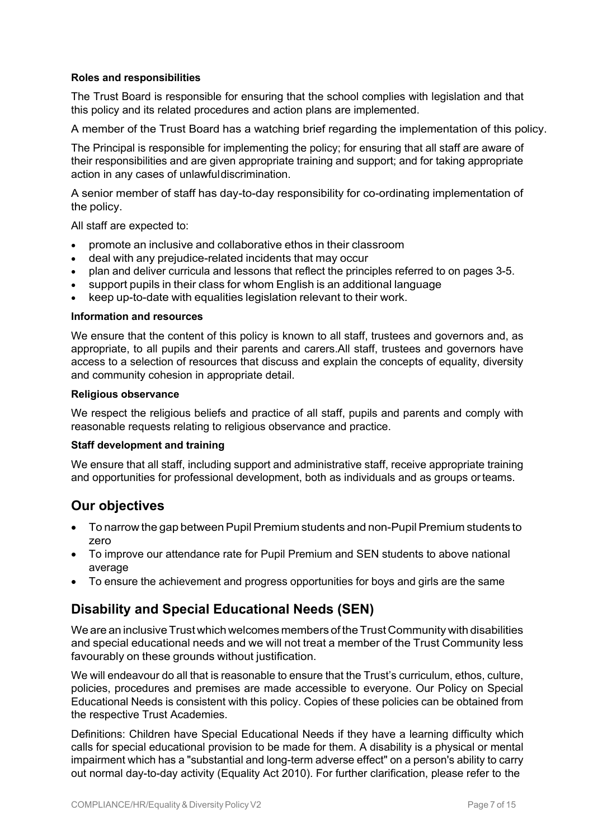### **Roles and responsibilities**

The Trust Board is responsible for ensuring that the school complies with legislation and that this policy and its related procedures and action plans are implemented.

A member of the Trust Board has a watching brief regarding the implementation of this policy.

The Principal is responsible for implementing the policy; for ensuring that all staff are aware of their responsibilities and are given appropriate training and support; and for taking appropriate action in any cases of unlawfuldiscrimination.

A senior member of staff has day-to-day responsibility for co-ordinating implementation of the policy.

All staff are expected to:

- promote an inclusive and collaborative ethos in their classroom
- deal with any prejudice-related incidents that may occur
- plan and deliver curricula and lessons that reflect the principles referred to on pages 3-5.
- support pupils in their class for whom English is an additional language
- keep up-to-date with equalities legislation relevant to their work.

#### **Information and resources**

We ensure that the content of this policy is known to all staff, trustees and governors and, as appropriate, to all pupils and their parents and carers.All staff, trustees and governors have access to a selection of resources that discuss and explain the concepts of equality, diversity and community cohesion in appropriate detail.

#### **Religious observance**

We respect the religious beliefs and practice of all staff, pupils and parents and comply with reasonable requests relating to religious observance and practice.

### **Staff development and training**

We ensure that all staff, including support and administrative staff, receive appropriate training and opportunities for professional development, both as individuals and as groups orteams.

### **Our objectives**

- To narrow the gap between Pupil Premium students and non-Pupil Premium students to zero
- To improve our attendance rate for Pupil Premium and SEN students to above national average
- To ensure the achievement and progress opportunities for boys and girls are the same

### **Disability and Special Educational Needs (SEN)**

We are an inclusive Trust which welcomes members of the Trust Community with disabilities and special educational needs and we will not treat a member of the Trust Community less favourably on these grounds without justification.

We will endeavour do all that is reasonable to ensure that the Trust's curriculum, ethos, culture, policies, procedures and premises are made accessible to everyone. Our Policy on Special Educational Needs is consistent with this policy. Copies of these policies can be obtained from the respective Trust Academies.

Definitions: Children have Special Educational Needs if they have a learning difficulty which calls for special educational provision to be made for them. A disability is a physical or mental impairment which has a "substantial and long-term adverse effect" on a person's ability to carry out normal day-to-day activity (Equality Act 2010). For further clarification, please refer to the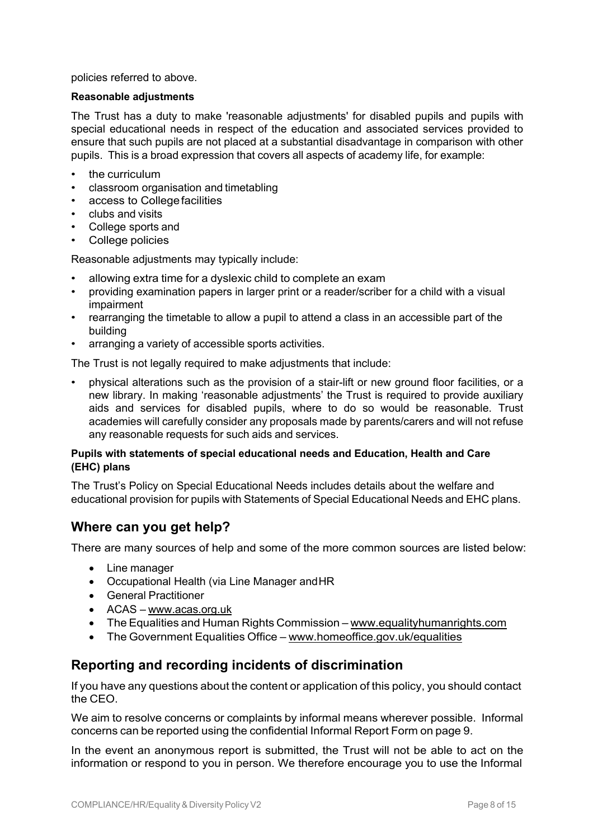policies referred to above.

### **Reasonable adjustments**

The Trust has a duty to make 'reasonable adjustments' for disabled pupils and pupils with special educational needs in respect of the education and associated services provided to ensure that such pupils are not placed at a substantial disadvantage in comparison with other pupils. This is a broad expression that covers all aspects of academy life, for example:

- the curriculum
- classroom organisation and timetabling
- access to College facilities
- clubs and visits
- College sports and
- College policies

Reasonable adjustments may typically include:

- allowing extra time for a dyslexic child to complete an exam
- providing examination papers in larger print or a reader/scriber for a child with a visual impairment
- rearranging the timetable to allow a pupil to attend a class in an accessible part of the building
- arranging a variety of accessible sports activities.

The Trust is not legally required to make adjustments that include:

• physical alterations such as the provision of a stair-lift or new ground floor facilities, or a new library. In making 'reasonable adjustments' the Trust is required to provide auxiliary aids and services for disabled pupils, where to do so would be reasonable. Trust academies will carefully consider any proposals made by parents/carers and will not refuse any reasonable requests for such aids and services.

### **Pupils with statements of special educational needs and Education, Health and Care (EHC) plans**

The Trust's Policy on Special Educational Needs includes details about the welfare and educational provision for pupils with Statements of Special Educational Needs and EHC plans.

### **Where can you get help?**

There are many sources of help and some of the more common sources are listed below:

- Line manager
- Occupational Health (via Line Manager andHR
- General Practitioner
- ACAS www.acas.org.uk
- The Equalities and Human Rights Commission www.equalityhumanrights.com
- The Government Equalities Office www.homeoffice.gov.uk/equalities

### **Reporting and recording incidents of discrimination**

If you have any questions about the content or application of this policy, you should contact the CEO.

We aim to resolve concerns or complaints by informal means wherever possible. Informal concerns can be reported using the confidential Informal Report Form on page 9.

In the event an anonymous report is submitted, the Trust will not be able to act on the information or respond to you in person. We therefore encourage you to use the Informal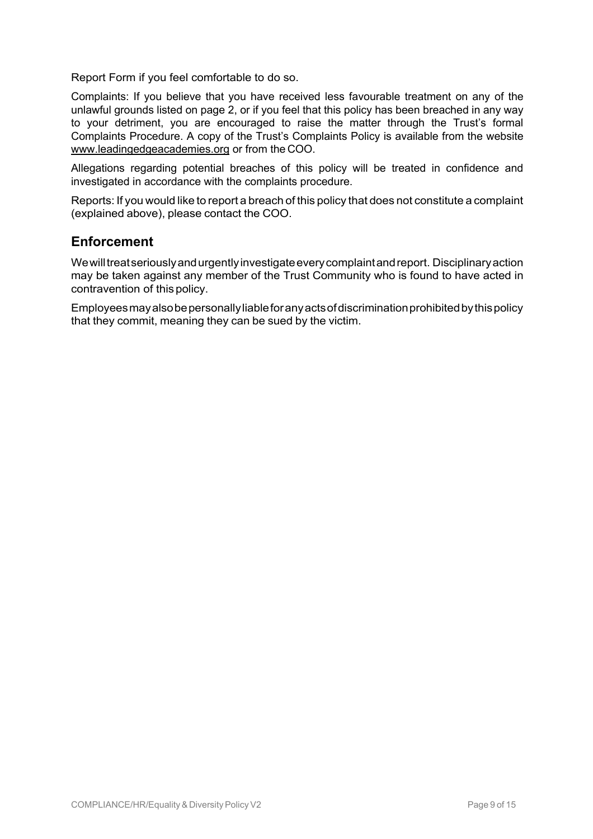Report Form if you feel comfortable to do so.

Complaints: If you believe that you have received less favourable treatment on any of the unlawful grounds listed on page 2, or if you feel that this policy has been breached in any way to your detriment, you are encouraged to raise the matter through the Trust's formal Complaints Procedure. A copy of the Trust's Complaints Policy is available from the website www.leadingedgeacademies.org or from the COO.

Allegations regarding potential breaches of this policy will be treated in confidence and investigated in accordance with the complaints procedure.

Reports: If you would like to report a breach of this policy that does not constitute a complaint (explained above), please contact the COO.

### **Enforcement**

Wewilltreatseriouslyandurgentlyinvestigateeverycomplaintandreport. Disciplinaryaction may be taken against any member of the Trust Community who is found to have acted in contravention of this policy.

Employeesmayalsobepersonallyliableforanyactsofdiscriminationprohibitedbythispolicy that they commit, meaning they can be sued by the victim.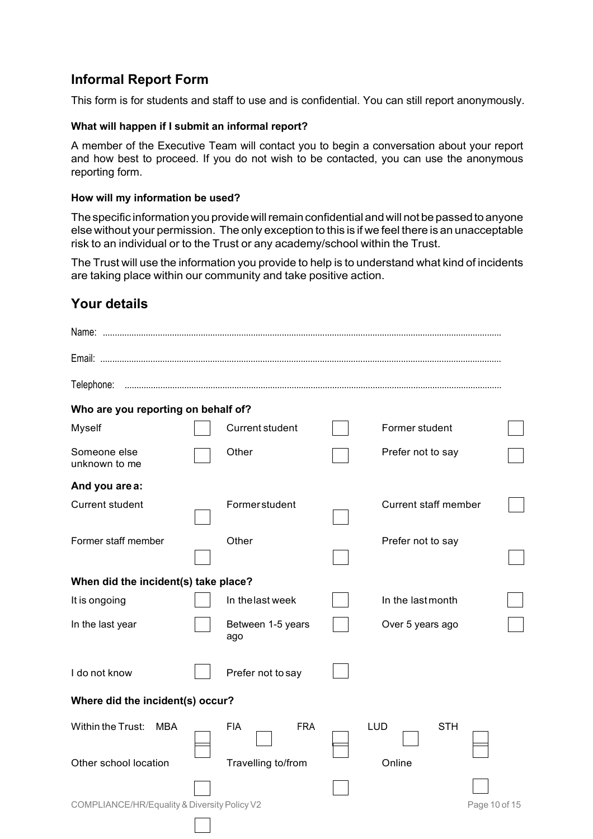### **Informal Report Form**

This form is for students and staff to use and is confidential. You can still report anonymously.

### **What will happen if I submit an informal report?**

A member of the Executive Team will contact you to begin a conversation about your report and how best to proceed. If you do not wish to be contacted, you can use the anonymous reporting form.

### **How will my information be used?**

The specific information you provide will remain confidential and will not be passed to anyone else without your permission. The only exception to this is if we feel there is an unacceptable risk to an individual or to the Trust or any academy/school within the Trust.

The Trust will use the information you provide to help is to understand what kind of incidents are taking place within our community and take positive action.

### **Your details**

| Telephone:                                   |  |                          |  |                             |  |
|----------------------------------------------|--|--------------------------|--|-----------------------------|--|
| Who are you reporting on behalf of?          |  |                          |  |                             |  |
| Myself                                       |  | Current student          |  | Former student              |  |
| Someone else<br>unknown to me                |  | Other                    |  | Prefer not to say           |  |
| And you are a:                               |  |                          |  |                             |  |
| <b>Current student</b>                       |  | <b>Former student</b>    |  | <b>Current staff member</b> |  |
| Former staff member                          |  | Other                    |  | Prefer not to say           |  |
| When did the incident(s) take place?         |  |                          |  |                             |  |
| It is ongoing                                |  | In the last week         |  | In the last month           |  |
| In the last year                             |  | Between 1-5 years<br>ago |  | Over 5 years ago            |  |
| I do not know<br>Prefer not to say           |  |                          |  |                             |  |
| Where did the incident(s) occur?             |  |                          |  |                             |  |
| Within the Trust:<br>MBA                     |  | <b>FIA</b><br><b>FRA</b> |  | <b>LUD</b><br><b>STH</b>    |  |
| Other school location                        |  | Travelling to/from       |  | Online                      |  |
| COMPLIANCE/HR/Equality & Diversity Policy V2 |  |                          |  | Page 10 of 15               |  |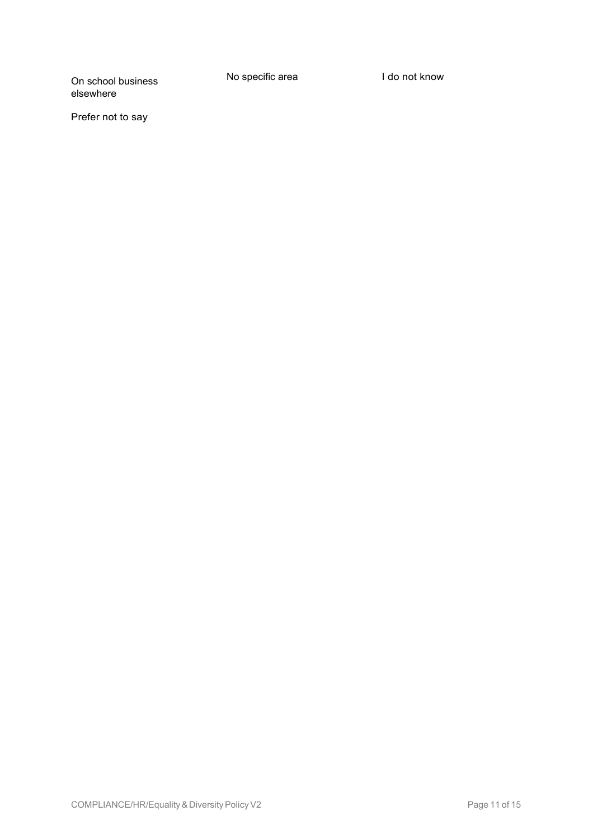No specific area **I do not know** 

Prefer not to say

elsewhere

On school business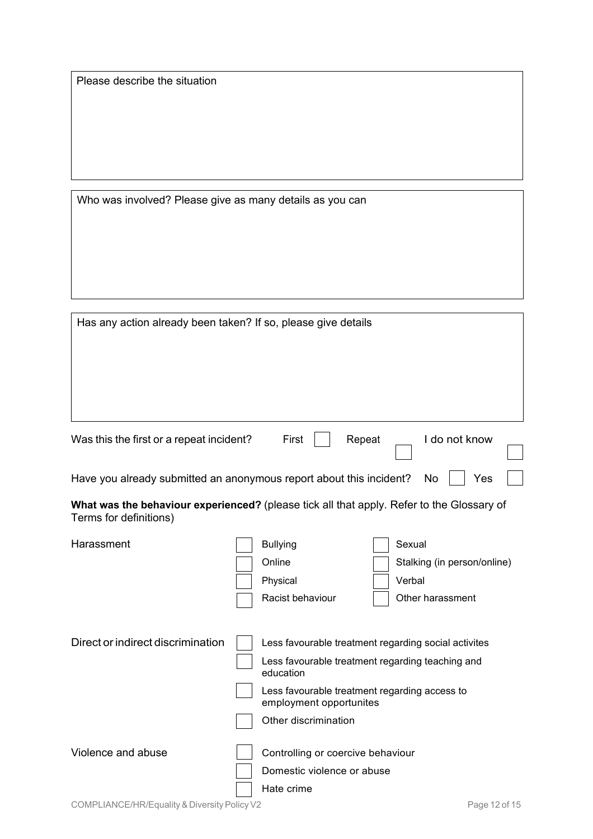Who was involved? Please give as many details as you can

| Has any action already been taken? If so, please give details                                                       |                                                                                                                                                                                                                           |  |  |
|---------------------------------------------------------------------------------------------------------------------|---------------------------------------------------------------------------------------------------------------------------------------------------------------------------------------------------------------------------|--|--|
| Was this the first or a repeat incident?<br>First<br>Repeat<br>I do not know                                        |                                                                                                                                                                                                                           |  |  |
| Have you already submitted an anonymous report about this incident?<br>Yes<br>No                                    |                                                                                                                                                                                                                           |  |  |
| What was the behaviour experienced? (please tick all that apply. Refer to the Glossary of<br>Terms for definitions) |                                                                                                                                                                                                                           |  |  |
| Harassment                                                                                                          | <b>Bullying</b><br>Sexual<br>Online<br>Stalking (in person/online)<br>Verbal<br>Physical<br>Racist behaviour<br>Other harassment                                                                                          |  |  |
| Direct or indirect discrimination                                                                                   | Less favourable treatment regarding social activites<br>Less favourable treatment regarding teaching and<br>education<br>Less favourable treatment regarding access to<br>employment opportunites<br>Other discrimination |  |  |

| Domestic violence or abuse |
|----------------------------|
| Hate crime                 |

Violence and abuse  $\Box$  Controlling or coercive behaviour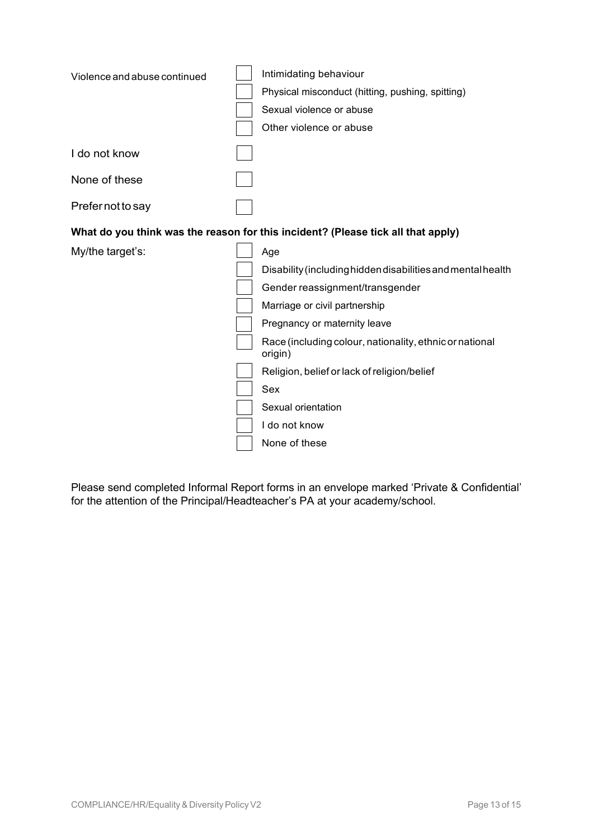| Violence and abuse continued | Intimidating behaviour<br>Physical misconduct (hitting, pushing, spitting)<br>Sexual violence or abuse |
|------------------------------|--------------------------------------------------------------------------------------------------------|
|                              | Other violence or abuse                                                                                |
| I do not know                |                                                                                                        |
| None of these                |                                                                                                        |
| Prefer not to say            |                                                                                                        |
|                              | What do you think was the reason for this incident? (Please tick all that apply)                       |
| My/the target's:             | Age                                                                                                    |
|                              | Disability (including hidden disabilities and mental health                                            |
|                              | Gender reassignment/transgender                                                                        |
|                              | Marriage or civil partnership                                                                          |
|                              | Pregnancy or maternity leave                                                                           |
|                              | Race (including colour, nationality, ethnic or national<br>origin)                                     |
|                              | Religion, belief or lack of religion/belief                                                            |
|                              | Sex                                                                                                    |
|                              | Sexual orientation                                                                                     |
|                              | I do not know                                                                                          |
|                              | None of these                                                                                          |

Please send completed Informal Report forms in an envelope marked 'Private & Confidential' for the attention of the Principal/Headteacher's PA at your academy/school.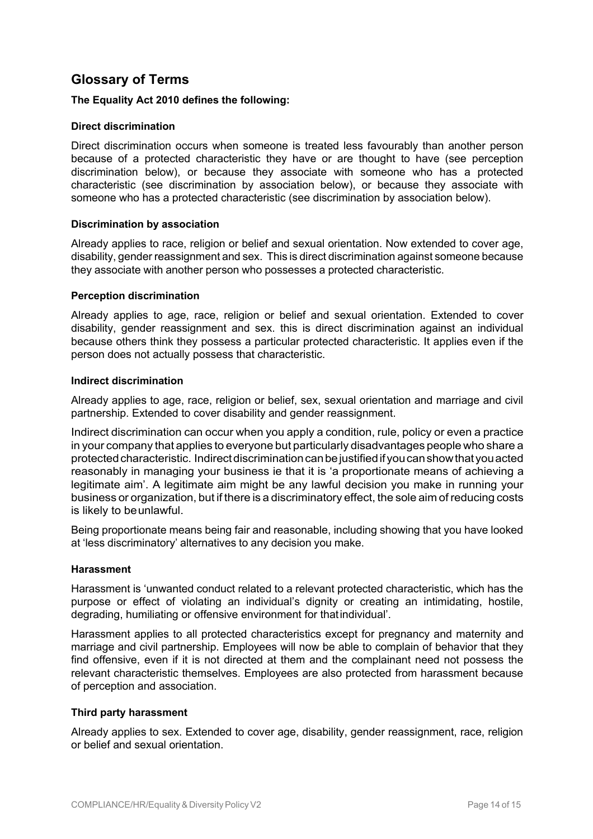### **Glossary of Terms**

### **The Equality Act 2010 defines the following:**

### **Direct discrimination**

Direct discrimination occurs when someone is treated less favourably than another person because of a protected characteristic they have or are thought to have (see perception discrimination below), or because they associate with someone who has a protected characteristic (see discrimination by association below), or because they associate with someone who has a protected characteristic (see discrimination by association below).

### **Discrimination by association**

Already applies to race, religion or belief and sexual orientation. Now extended to cover age, disability, gender reassignment and sex. This is direct discrimination against someone because they associate with another person who possesses a protected characteristic.

### **Perception discrimination**

Already applies to age, race, religion or belief and sexual orientation. Extended to cover disability, gender reassignment and sex. this is direct discrimination against an individual because others think they possess a particular protected characteristic. It applies even if the person does not actually possess that characteristic.

### **Indirect discrimination**

Already applies to age, race, religion or belief, sex, sexual orientation and marriage and civil partnership. Extended to cover disability and gender reassignment.

Indirect discrimination can occur when you apply a condition, rule, policy or even a practice in your company that applies to everyone but particularly disadvantages people who share a protectedcharacteristic. Indirectdiscriminationcanbejustifiedifyoucanshowthatyouacted reasonably in managing your business ie that it is 'a proportionate means of achieving a legitimate aim'. A legitimate aim might be any lawful decision you make in running your business or organization, but if there is a discriminatory effect, the sole aim of reducing costs is likely to beunlawful.

Being proportionate means being fair and reasonable, including showing that you have looked at 'less discriminatory' alternatives to any decision you make.

### **Harassment**

Harassment is 'unwanted conduct related to a relevant protected characteristic, which has the purpose or effect of violating an individual's dignity or creating an intimidating, hostile, degrading, humiliating or offensive environment for thatindividual'.

Harassment applies to all protected characteristics except for pregnancy and maternity and marriage and civil partnership. Employees will now be able to complain of behavior that they find offensive, even if it is not directed at them and the complainant need not possess the relevant characteristic themselves. Employees are also protected from harassment because of perception and association.

### **Third party harassment**

Already applies to sex. Extended to cover age, disability, gender reassignment, race, religion or belief and sexual orientation.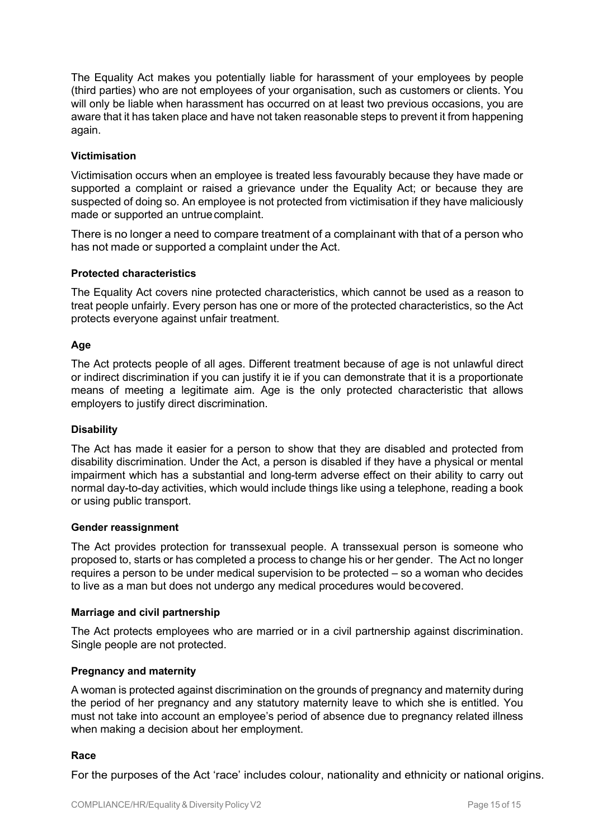The Equality Act makes you potentially liable for harassment of your employees by people (third parties) who are not employees of your organisation, such as customers or clients. You will only be liable when harassment has occurred on at least two previous occasions, you are aware that it has taken place and have not taken reasonable steps to prevent it from happening again.

### **Victimisation**

Victimisation occurs when an employee is treated less favourably because they have made or supported a complaint or raised a grievance under the Equality Act; or because they are suspected of doing so. An employee is not protected from victimisation if they have maliciously made or supported an untruecomplaint.

There is no longer a need to compare treatment of a complainant with that of a person who has not made or supported a complaint under the Act.

### **Protected characteristics**

The Equality Act covers nine protected characteristics, which cannot be used as a reason to treat people unfairly. Every person has one or more of the protected characteristics, so the Act protects everyone against unfair treatment.

### **Age**

The Act protects people of all ages. Different treatment because of age is not unlawful direct or indirect discrimination if you can justify it ie if you can demonstrate that it is a proportionate means of meeting a legitimate aim. Age is the only protected characteristic that allows employers to justify direct discrimination.

### **Disability**

The Act has made it easier for a person to show that they are disabled and protected from disability discrimination. Under the Act, a person is disabled if they have a physical or mental impairment which has a substantial and long-term adverse effect on their ability to carry out normal day-to-day activities, which would include things like using a telephone, reading a book or using public transport.

### **Gender reassignment**

The Act provides protection for transsexual people. A transsexual person is someone who proposed to, starts or has completed a process to change his or her gender. The Act no longer requires a person to be under medical supervision to be protected – so a woman who decides to live as a man but does not undergo any medical procedures would becovered.

### **Marriage and civil partnership**

The Act protects employees who are married or in a civil partnership against discrimination. Single people are not protected.

### **Pregnancy and maternity**

A woman is protected against discrimination on the grounds of pregnancy and maternity during the period of her pregnancy and any statutory maternity leave to which she is entitled. You must not take into account an employee's period of absence due to pregnancy related illness when making a decision about her employment.

### **Race**

For the purposes of the Act 'race' includes colour, nationality and ethnicity or national origins.